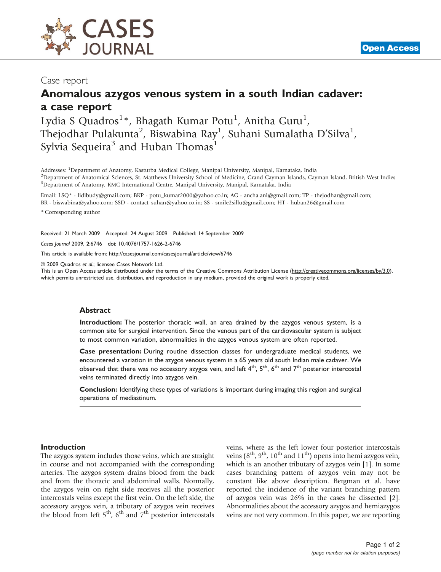

## Case report

## Anomalous azygos venous system in a south Indian cadaver: a case report

Lydia S Quadros<sup>1</sup>\*, Bhagath Kumar Potu<sup>1</sup>, Anitha Guru<sup>1</sup>, Thejodhar Pulakunta $^2$ , Biswabina Ray $^1$ , Suhani Sumalatha D'Silva $^1$ , Sylvia Sequeira<sup>3</sup> and Huban Thomas<sup>1</sup>

Addresses: <sup>1</sup>Department of Anatomy, Kasturba Medical College, Manipal University, Manipal, Karnataka, India<br><sup>2</sup>Department of Anatomical Sciences, St. Matthews University School of Medicine, Crand Cayman Islands, Cay <sup>2</sup>Department of Anatomical Sciences, St. Matthews University School of Medicine, Grand Cayman Islands, Cayman Island, British West Indies <sup>3</sup>Department of Anatomy, KMC International Centre, Manipal University, Manipal, Karnataka, India

Email: LSQ\* - [lidibudy@gmail.com](mailto:lidibudy@gmail.com); BKP - [potu\\_kumar2000@yahoo.co.in](mailto:potu_kumar2000@yahoo.co.in); AG - [ancha.ani@gmail.com;](mailto:ancha.ani@gmail.com) TP - [thejodhar@gmail.com](mailto:thejodhar@gmail.com); BR - [biswabina@yahoo.com](mailto:biswabina@yahoo.com); SSD - [contact\\_suhan@yahoo.co.in;](mailto:contact_suhan@yahoo.co.in) SS - [smile2sillu@gmail.com;](mailto:smile2sillu@gmail.com) HT - [huban26@gmail.com](mailto:huban26@gmail.com)

\* Corresponding author

Received: 21 March 2009 Accepted: 24 August 2009 Published: 14 September 2009

Cases Journal 2009, 2:6746 doi: 10.4076/1757-1626-2-6746

This article is available from:<http://casesjournal.com/casesjournal/article/view/6746>

© 2009 Quadros et al.; licensee Cases Network Ltd.

This is an Open Access article distributed under the terms of the Creative Commons Attribution License [\(http://creativecommons.org/licenses/by/3.0\)](http://creativecommons.org/licenses/by/3.0), which permits unrestricted use, distribution, and reproduction in any medium, provided the original work is properly cited.

#### Abstract

Introduction: The posterior thoracic wall, an area drained by the azygos venous system, is a common site for surgical intervention. Since the venous part of the cardiovascular system is subject to most common variation, abnormalities in the azygos venous system are often reported.

Case presentation: During routine dissection classes for undergraduate medical students, we encountered a variation in the azygos venous system in a 65 years old south Indian male cadaver. We observed that there was no accessory azygos vein, and left  $4^{th}$ ,  $5^{th}$ ,  $6^{th}$  and  $7^{th}$  posterior intercostal veins terminated directly into azygos vein.

Conclusion: Identifying these types of variations is important during imaging this region and surgical operations of mediastinum.

#### Introduction

The azygos system includes those veins, which are straight in course and not accompanied with the corresponding arteries. The azygos system drains blood from the back and from the thoracic and abdominal walls. Normally, the azygos vein on right side receives all the posterior intercostals veins except the first vein. On the left side, the accessory azygos vein, a tributary of azygos vein receives the blood from left  $5<sup>th</sup>$ ,  $6<sup>th</sup>$  and  $7<sup>th</sup>$  posterior intercostals veins, where as the left lower four posterior intercostals veins  $(8<sup>th</sup>, 9<sup>th</sup>, 10<sup>th</sup>$  and  $11<sup>th</sup>$ ) opens into hemi azygos vein, which is an another tributary of azygos vein [\[1\]](#page-1-0). In some cases branching pattern of azygos vein may not be constant like above description. Bergman et al. have reported the incidence of the variant branching pattern of azygos vein was 26% in the cases he dissected [\[2\]](#page-1-0). Abnormalities about the accessory azygos and hemiazygos veins are not very common. In this paper, we are reporting